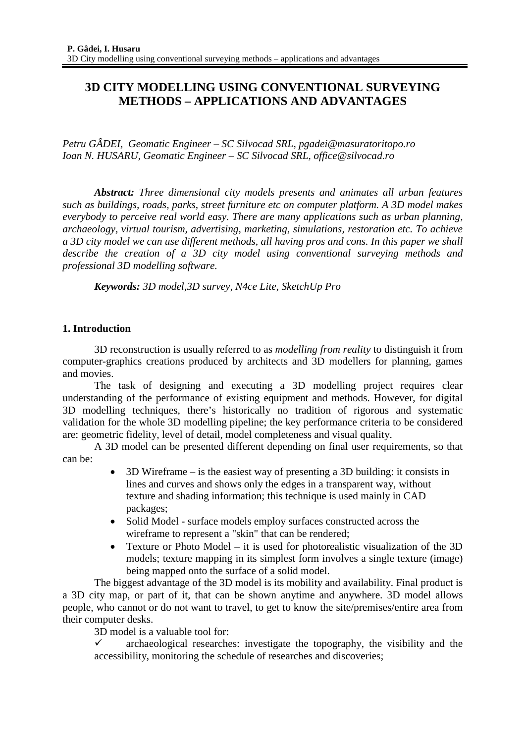# **3D CITY MODELLING USING CONVENTIONAL SURVEYING METHODS – APPLICATIONS AND ADVANTAGES**

*Petru GÂDEI, Geomatic Engineer – SC Silvocad SRL, pgadei@masuratoritopo.ro Ioan N. HUSARU, Geomatic Engineer – SC Silvocad SRL, office@silvocad.ro* 

*Abstract: Three dimensional city models presents and animates all urban features such as buildings, roads, parks, street furniture etc on computer platform. A 3D model makes everybody to perceive real world easy. There are many applications such as urban planning, archaeology, virtual tourism, advertising, marketing, simulations, restoration etc. To achieve a 3D city model we can use different methods, all having pros and cons. In this paper we shall describe the creation of a 3D city model using conventional surveying methods and professional 3D modelling software.* 

*Keywords: 3D model,3D survey, N4ce Lite, SketchUp Pro* 

# **1. Introduction**

3D reconstruction is usually referred to as *modelling from reality* to distinguish it from computer-graphics creations produced by architects and 3D modellers for planning, games and movies.

The task of designing and executing a 3D modelling project requires clear understanding of the performance of existing equipment and methods. However, for digital 3D modelling techniques, there's historically no tradition of rigorous and systematic validation for the whole 3D modelling pipeline; the key performance criteria to be considered are: geometric fidelity, level of detail, model completeness and visual quality.

A 3D model can be presented different depending on final user requirements, so that can be:

- 3D Wireframe is the easiest way of presenting a 3D building: it consists in lines and curves and shows only the edges in a transparent way, without texture and shading information; this technique is used mainly in CAD packages;
- Solid Model surface models employ surfaces constructed across the wireframe to represent a "skin" that can be rendered;
- Texture or Photo Model it is used for photorealistic visualization of the 3D models; texture mapping in its simplest form involves a single texture (image) being mapped onto the surface of a solid model.

The biggest advantage of the 3D model is its mobility and availability. Final product is a 3D city map, or part of it, that can be shown anytime and anywhere. 3D model allows people, who cannot or do not want to travel, to get to know the site/premises/entire area from their computer desks.

3D model is a valuable tool for:

9 archaeological researches: investigate the topography, the visibility and the accessibility, monitoring the schedule of researches and discoveries;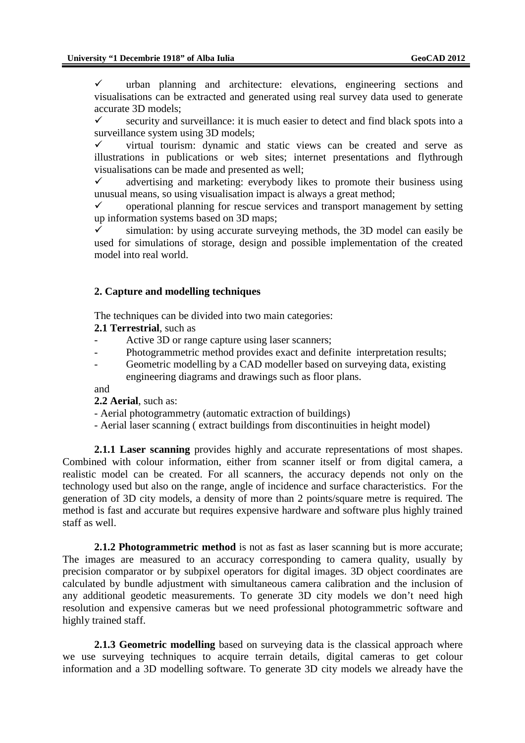$\checkmark$  urban planning and architecture: elevations, engineering sections and visualisations can be extracted and generated using real survey data used to generate accurate 3D models;

 $\checkmark$  security and surveillance: it is much easier to detect and find black spots into a surveillance system using 3D models:

 $\checkmark$  virtual tourism: dynamic and static views can be created and serve as illustrations in publications or web sites; internet presentations and flythrough visualisations can be made and presented as well;

 $\checkmark$  advertising and marketing: everybody likes to promote their business using unusual means, so using visualisation impact is always a great method;

 $\checkmark$  operational planning for rescue services and transport management by setting up information systems based on 3D maps;

simulation: by using accurate surveying methods, the 3D model can easily be used for simulations of storage, design and possible implementation of the created model into real world.

### **2. Capture and modelling techniques**

The techniques can be divided into two main categories:

- **2.1 Terrestrial**, such as
- Active 3D or range capture using laser scanners;
- Photogrammetric method provides exact and definite interpretation results;
- Geometric modelling by a CAD modeller based on surveying data, existing engineering diagrams and drawings such as floor plans.

and

**2.2 Aerial**, such as:

- Aerial photogrammetry (automatic extraction of buildings)
- Aerial laser scanning ( extract buildings from discontinuities in height model)

**2.1.1 Laser scanning** provides highly and accurate representations of most shapes. Combined with colour information, either from scanner itself or from digital camera, a realistic model can be created. For all scanners, the accuracy depends not only on the technology used but also on the range, angle of incidence and surface characteristics. For the generation of 3D city models, a density of more than 2 points/square metre is required. The method is fast and accurate but requires expensive hardware and software plus highly trained staff as well.

**2.1.2 Photogrammetric method** is not as fast as laser scanning but is more accurate; The images are measured to an accuracy corresponding to camera quality, usually by precision comparator or by subpixel operators for digital images. 3D object coordinates are calculated by bundle adjustment with simultaneous camera calibration and the inclusion of any additional geodetic measurements. To generate 3D city models we don't need high resolution and expensive cameras but we need professional photogrammetric software and highly trained staff.

**2.1.3 Geometric modelling** based on surveying data is the classical approach where we use surveying techniques to acquire terrain details, digital cameras to get colour information and a 3D modelling software. To generate 3D city models we already have the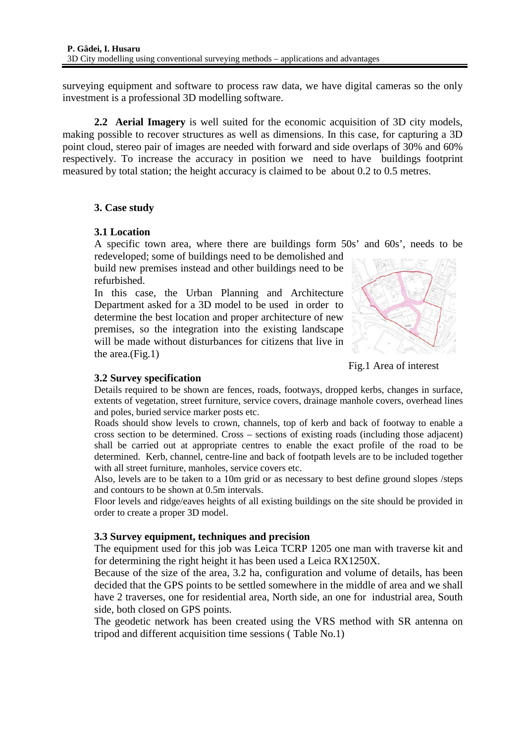surveying equipment and software to process raw data, we have digital cameras so the only investment is a professional 3D modelling software.

**2.2 Aerial Imagery** is well suited for the economic acquisition of 3D city models, making possible to recover structures as well as dimensions. In this case, for capturing a 3D point cloud, stereo pair of images are needed with forward and side overlaps of 30% and 60% respectively. To increase the accuracy in position we need to have buildings footprint measured by total station; the height accuracy is claimed to be about 0.2 to 0.5 metres.

# **3. Case study**

# **3.1 Location**

A specific town area, where there are buildings form 50s' and 60s', needs to be redeveloped; some of buildings need to be demolished and

build new premises instead and other buildings need to be refurbished.

In this case, the Urban Planning and Architecture Department asked for a 3D model to be used in order to determine the best location and proper architecture of new premises, so the integration into the existing landscape will be made without disturbances for citizens that live in the area.(Fig.1)



Fig.1 Area of interest

# **3.2 Survey specification**

Details required to be shown are fences, roads, footways, dropped kerbs, changes in surface, extents of vegetation, street furniture, service covers, drainage manhole covers, overhead lines and poles, buried service marker posts etc.

Roads should show levels to crown, channels, top of kerb and back of footway to enable a cross section to be determined. Cross – sections of existing roads (including those adjacent) shall be carried out at appropriate centres to enable the exact profile of the road to be determined. Kerb, channel, centre-line and back of footpath levels are to be included together with all street furniture, manholes, service covers etc.

Also, levels are to be taken to a 10m grid or as necessary to best define ground slopes /steps and contours to be shown at 0.5m intervals.

Floor levels and ridge/eaves heights of all existing buildings on the site should be provided in order to create a proper 3D model.

### **3.3 Survey equipment, techniques and precision**

The equipment used for this job was Leica TCRP 1205 one man with traverse kit and for determining the right height it has been used a Leica RX1250X.

Because of the size of the area, 3.2 ha, configuration and volume of details, has been decided that the GPS points to be settled somewhere in the middle of area and we shall have 2 traverses, one for residential area, North side, an one for industrial area, South side, both closed on GPS points.

The geodetic network has been created using the VRS method with SR antenna on tripod and different acquisition time sessions ( Table No.1)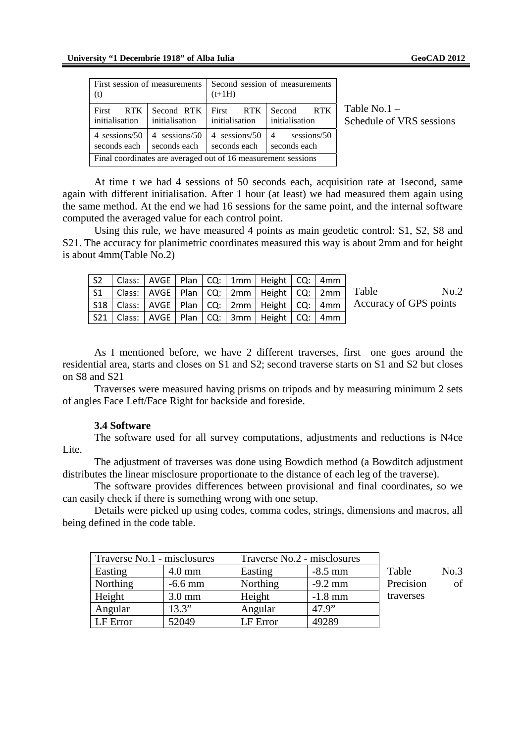| First session of measurements<br>(t)                          |                               | Second session of measurements<br>$(t+1H)$ |                                               |  |  |  |
|---------------------------------------------------------------|-------------------------------|--------------------------------------------|-----------------------------------------------|--|--|--|
| First<br>RTK<br>initialisation                                | Second RTK<br>initialisation  | First RTK<br>initialisation                | Second RTK<br>initialisation                  |  |  |  |
| 4 sessions/50<br>seconds each                                 | 4 sessions/50<br>seconds each | 4 sessions/50<br>seconds each              | sessions/50<br>$\overline{4}$<br>seconds each |  |  |  |
| Final coordinates are averaged out of 16 measurement sessions |                               |                                            |                                               |  |  |  |

Table No.1 – Schedule of VRS sessions

At time t we had 4 sessions of 50 seconds each, acquisition rate at 1second, same again with different initialisation. After 1 hour (at least) we had measured them again using the same method. At the end we had 16 sessions for the same point, and the internal software computed the averaged value for each control point.

Using this rule, we have measured 4 points as main geodetic control: S1, S2, S8 and S21. The accuracy for planimetric coordinates measured this way is about 2mm and for height is about 4mm(Table No.2)

| S <sub>2</sub> |  |  | Class:   AVGE   Plan   CQ:   1mm   Height   CQ:   4mm       |  |                                                                                      |
|----------------|--|--|-------------------------------------------------------------|--|--------------------------------------------------------------------------------------|
|                |  |  |                                                             |  | S1   Class:   AVGE   Plan   CQ:   2mm   Height   CQ:   2mm   Table<br>No.2           |
|                |  |  |                                                             |  | S18   Class:   AVGE   Plan   CQ:   2mm   Height   CQ:   4mm   Accuracy of GPS points |
|                |  |  | S21   Class:   AVGE   Plan   CQ:   3mm   Height   CQ:   4mm |  |                                                                                      |

As I mentioned before, we have 2 different traverses, first one goes around the residential area, starts and closes on S1 and S2; second traverse starts on S1 and S2 but closes on S8 and S21

Traverses were measured having prisms on tripods and by measuring minimum 2 sets of angles Face Left/Face Right for backside and foreside.

#### **3.4 Software**

The software used for all survey computations, adjustments and reductions is N4ce Lite.

The adjustment of traverses was done using Bowdich method (a Bowditch adjustment distributes the linear misclosure proportionate to the distance of each leg of the traverse).

The software provides differences between provisional and final coordinates, so we can easily check if there is something wrong with one setup.

Details were picked up using codes, comma codes, strings, dimensions and macros, all being defined in the code table.

| Traverse No.1 - misclosures |                  | Traverse No.2 - misclosures |           |           |      |
|-----------------------------|------------------|-----------------------------|-----------|-----------|------|
| Easting                     | $4.0 \text{ mm}$ | Easting                     | $-8.5$ mm | Table     | No.3 |
| Northing                    | $-6.6$ mm        | Northing                    | $-9.2$ mm | Precision | of   |
| Height                      | $3.0 \text{ mm}$ | Height                      | $-1.8$ mm | traverses |      |
| Angular                     | 13.3"            | Angular                     | 47.9"     |           |      |
| LF Error                    | 52049            | LF Error                    | 49289     |           |      |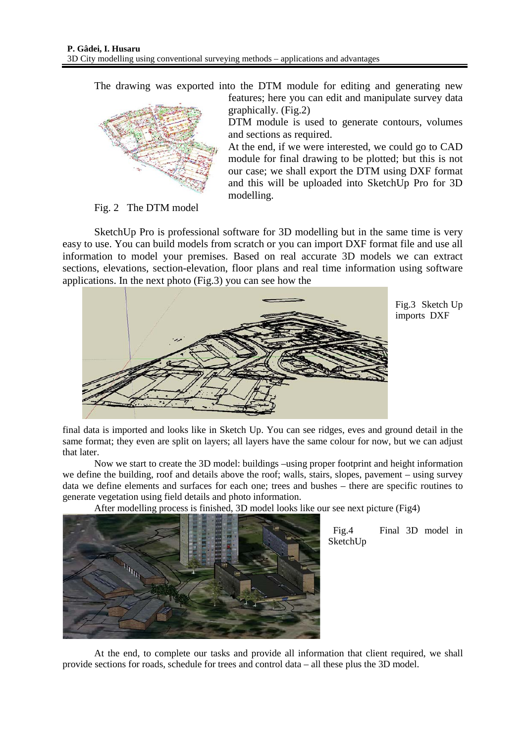The drawing was exported into the DTM module for editing and generating new



features; here you can edit and manipulate survey data graphically. (Fig.2)

DTM module is used to generate contours, volumes and sections as required.

At the end, if we were interested, we could go to CAD module for final drawing to be plotted; but this is not our case; we shall export the DTM using DXF format and this will be uploaded into SketchUp Pro for 3D modelling.

Fig. 2 The DTM model

SketchUp Pro is professional software for 3D modelling but in the same time is very easy to use. You can build models from scratch or you can import DXF format file and use all information to model your premises. Based on real accurate 3D models we can extract sections, elevations, section-elevation, floor plans and real time information using software applications. In the next photo (Fig.3) you can see how the



Fig.3 Sketch Up imports DXF

final data is imported and looks like in Sketch Up. You can see ridges, eves and ground detail in the same format; they even are split on layers; all layers have the same colour for now, but we can adjust that later.

Now we start to create the 3D model: buildings –using proper footprint and height information we define the building, roof and details above the roof; walls, stairs, slopes, pavement – using survey data we define elements and surfaces for each one; trees and bushes – there are specific routines to generate vegetation using field details and photo information.

After modelling process is finished, 3D model looks like our see next picture (Fig4)



 Fig.4 Final 3D model in SketchUp

At the end, to complete our tasks and provide all information that client required, we shall provide sections for roads, schedule for trees and control data – all these plus the 3D model.